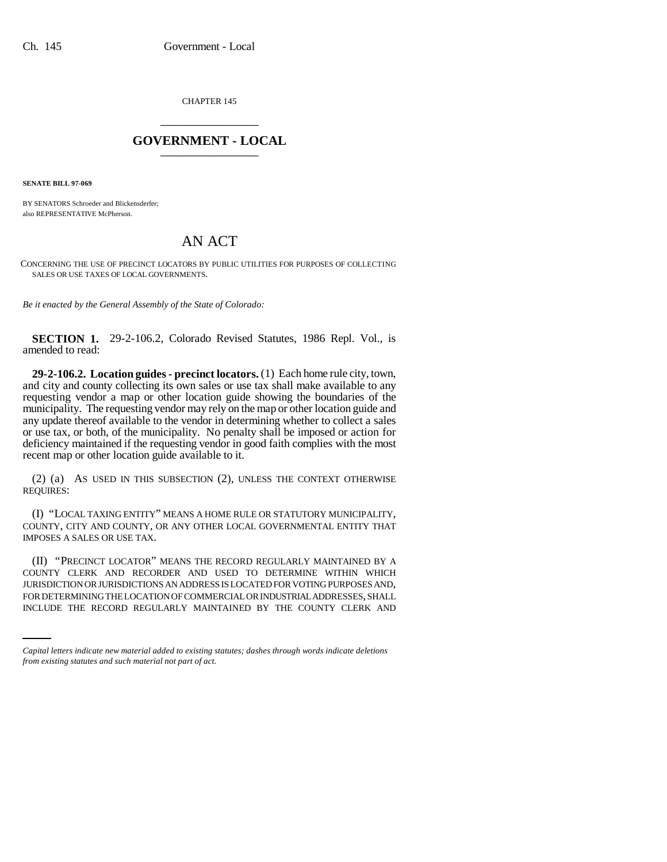CHAPTER 145 \_\_\_\_\_\_\_\_\_\_\_\_\_\_\_

## **GOVERNMENT - LOCAL** \_\_\_\_\_\_\_\_\_\_\_\_\_\_\_

**SENATE BILL 97-069**

BY SENATORS Schroeder and Blickensderfer; also REPRESENTATIVE McPherson.

## AN ACT

CONCERNING THE USE OF PRECINCT LOCATORS BY PUBLIC UTILITIES FOR PURPOSES OF COLLECTING SALES OR USE TAXES OF LOCAL GOVERNMENTS.

*Be it enacted by the General Assembly of the State of Colorado:*

**SECTION 1.** 29-2-106.2, Colorado Revised Statutes, 1986 Repl. Vol., is amended to read:

**29-2-106.2. Location guides - precinct locators.** (1) Each home rule city, town, and city and county collecting its own sales or use tax shall make available to any requesting vendor a map or other location guide showing the boundaries of the municipality. The requesting vendor may rely on the map or other location guide and any update thereof available to the vendor in determining whether to collect a sales or use tax, or both, of the municipality. No penalty shall be imposed or action for deficiency maintained if the requesting vendor in good faith complies with the most recent map or other location guide available to it.

(2) (a) AS USED IN THIS SUBSECTION (2), UNLESS THE CONTEXT OTHERWISE REQUIRES:

(I) "LOCAL TAXING ENTITY" MEANS A HOME RULE OR STATUTORY MUNICIPALITY, COUNTY, CITY AND COUNTY, OR ANY OTHER LOCAL GOVERNMENTAL ENTITY THAT IMPOSES A SALES OR USE TAX.

JURISDICTION OR JURISDICTIONS AN ADDRESS IS LOCATED FOR VOTING PURPOSES AND, (II) "PRECINCT LOCATOR" MEANS THE RECORD REGULARLY MAINTAINED BY A COUNTY CLERK AND RECORDER AND USED TO DETERMINE WITHIN WHICH FOR DETERMINING THE LOCATION OF COMMERCIAL OR INDUSTRIAL ADDRESSES, SHALL INCLUDE THE RECORD REGULARLY MAINTAINED BY THE COUNTY CLERK AND

*Capital letters indicate new material added to existing statutes; dashes through words indicate deletions from existing statutes and such material not part of act.*